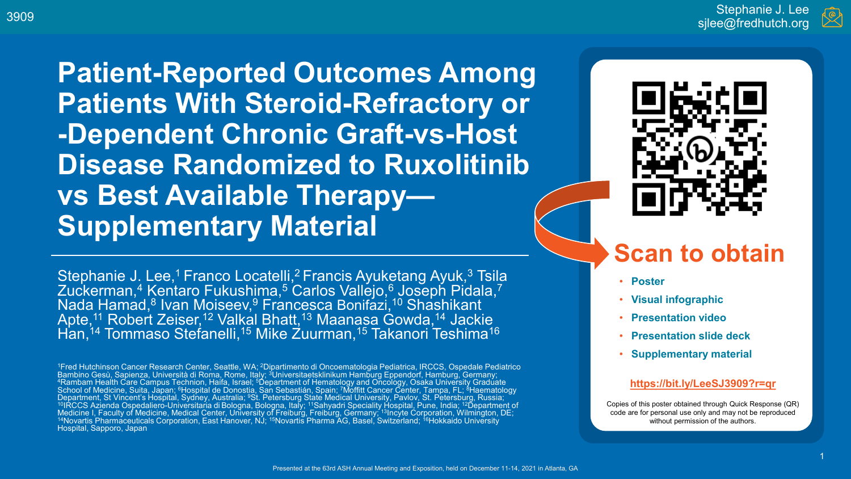**Patient-Reported Outcomes Among Patients With Steroid-Refractory or -Dependent Chronic Graft-vs-Host Disease Randomized to Ruxolitinib vs Best Available Therapy— Supplementary Material** 

# **Scan to obtain**

- **Poster**
- **Visual infographic**
- **Presentation video**
- **Presentation slide deck**
- **Supplementary material**

#### **<https://bit.ly/LeeSJ3909?r=qr>**

Copies of this poster obtained through Quick Response (QR) code are for personal use only and may not be reproduced without permission of the authors.

Stephanie J. Lee,<sup>1</sup> Franco Locatelli,<sup>2</sup> Francis Ayuketang Ayuk,<sup>3</sup> Tsila Zuckerman,4 Kentaro Fukushima,5 Carlos Vallejo,6 Joseph Pidala,7 Nada Hamad,8 Ivan Moiseev,9 Francesca Bonifazi, <sup>10</sup> Shashikant Apte,11 Robert Zeiser,<sup>12</sup> Valkal Bhat<u>t,</u>13 Maanasa Gowda,14 Jackie j Han,14 Tommaso Stefanelli,15 Mike Zuurman,15 Takanori Teshima16

1Fred Hutchinson Cancer Research Center, Seattle, WA; 2Dipartimento di Oncoematologia Pediatrica, IRCCS, Ospedale Pediatrico Bambino Gesù, Sapienza, Università di Roma, Rome, Italy; <sup>3</sup>Universitaetsklinikum Hamburg Eppendorf, Hamburg, Germany;<br><sup>4</sup>Rambam Health Care Campus Technion, Haifa, Israel; <sup>5</sup>Department of Hemato<u>l</u>ogy and Oncology, Osaka School of Medicine, Suita, Japan; <sup>6</sup>Hospital de Donostia, San Sebastián, Spain; <sup>7</sup>Moffitt Cancer Center, Tampa, FL; <sup>8</sup>Haematology Department, St Vincent's Hospital, Sydney, Australia; <sup>9</sup>St. Petersburg State Medical University, Pavlov, St. Petersburg, Russia; <sup>~~</sup><br><sup>10</sup>IRCCS Azienda Ospedaliero-Universitaria di Bologna, Bologna, Italy; <sup>11</sup>Sahyadri Sp Medicine I, Faculty of Medicine, Medical Center, University of Freiburg, Freiburg, Germany, 13Incyte Corporation, Wilmington, DE;<br><sup>14</sup>Novartis Pharmaceuticals Corporation, East Hanover, NJ; <sup>15</sup>Novartis Pharma AG, Basel, S Hospital, Sapporo, Japan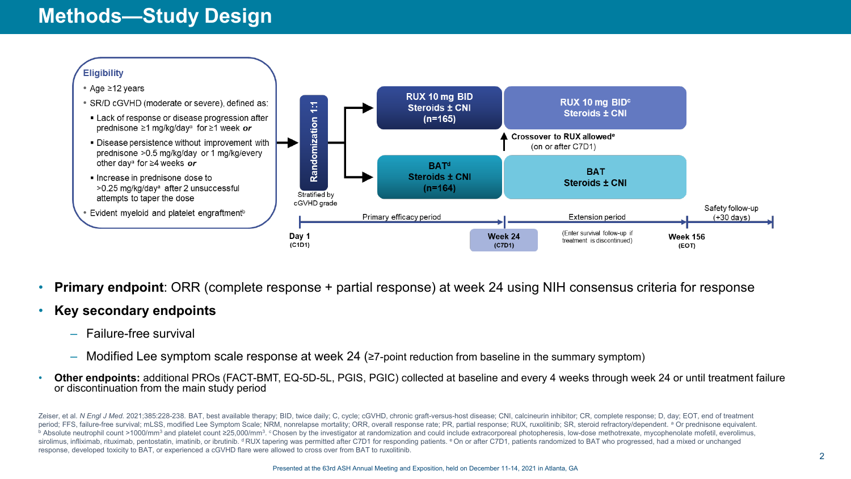## **Methods—Study Design**



- **Primary endpoint**: ORR (complete response + partial response) at week 24 using NIH consensus criteria for response
- **Key secondary endpoints**
	- Failure-free survival
	- Modified Lee symptom scale response at week 24 (≥7-point reduction from baseline in the summary symptom)
- **Other endpoints:** additional PROs (FACT-BMT, EQ-5D-5L, PGIS, PGIC) collected at baseline and every 4 weeks through week 24 or until treatment failure or discontinuation from the main study period

Zeiser, et al. N Engl J Med. 2021;385:228-238. BAT, best available therapy; BID, twice daily; C, cycle; cGVHD, chronic graft-versus-host disease; CNI, calcineurin inhibitor; CR, complete response; D, day; EOT, end of treat period; FFS, failure-free survival; mLSS, modified Lee Symptom Scale; NRM, nonrelapse mortality; ORR, overall response rate; PR, partial response; RUX, ruxolitinib; SR, steroid refractory/dependent. <sup>a</sup> Or prednisone equi sirolimus, infliximab, rituximab, pentostatin, imatinib, or ibrutinib. <sup>d</sup> RUX tapering was permitted after C7D1 for responding patients. <sup>e</sup> On or after C7D1, patients randomized to BAT who progressed, had a mixed or unch response, developed toxicity to BAT, or experienced a cGVHD flare were allowed to cross over from BAT to ruxolitinib.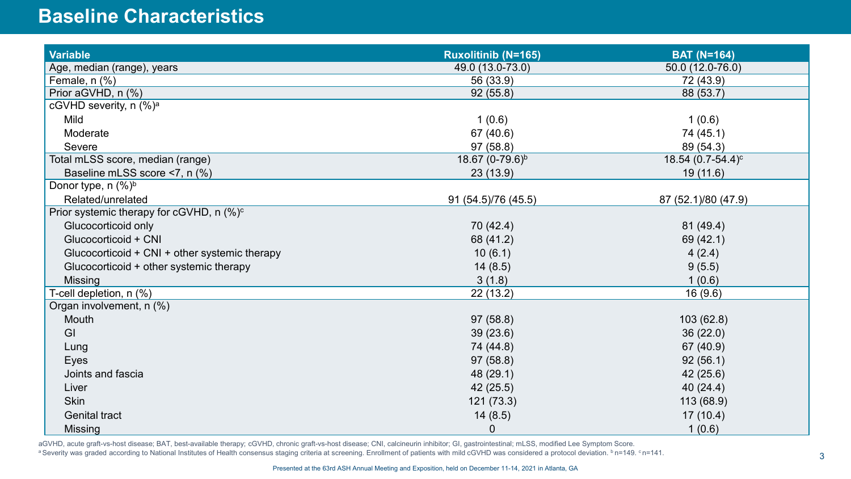#### **Baseline Characteristics**

| <b>Variable</b>                                      | <b>Ruxolitinib (N=165)</b>  | <b>BAT (N=164)</b>            |
|------------------------------------------------------|-----------------------------|-------------------------------|
| Age, median (range), years                           | 49.0 (13.0-73.0)            | 50.0 (12.0-76.0)              |
| Female, n (%)                                        | 56 (33.9)                   | 72 (43.9)                     |
| Prior aGVHD, n (%)                                   | 92(55.8)                    | 88 (53.7)                     |
| cGVHD severity, n (%) <sup>a</sup>                   |                             |                               |
| Mild                                                 | 1(0.6)                      | 1(0.6)                        |
| Moderate                                             | 67 (40.6)                   | 74 (45.1)                     |
| Severe                                               | 97(58.8)                    | 89 (54.3)                     |
| Total mLSS score, median (range)                     | 18.67 (0-79.6) <sup>b</sup> | 18.54 (0.7-54.4) <sup>c</sup> |
| Baseline mLSS score <7, n (%)                        | 23(13.9)                    | 19(11.6)                      |
| Donor type, $n$ (%) <sup>b</sup>                     |                             |                               |
| Related/unrelated                                    | 91 (54.5)/76 (45.5)         | 87 (52.1)/80 (47.9)           |
| Prior systemic therapy for cGVHD, n (%) <sup>c</sup> |                             |                               |
| Glucocorticoid only                                  | 70 (42.4)                   | 81 (49.4)                     |
| Glucocorticoid + CNI                                 | 68 (41.2)                   | 69 (42.1)                     |
| Glucocorticoid + CNI + other systemic therapy        | 10(6.1)                     | 4(2.4)                        |
| Glucocorticoid + other systemic therapy              | 14(8.5)                     | 9(5.5)                        |
| <b>Missing</b>                                       | 3(1.8)                      | 1(0.6)                        |
| T-cell depletion, n (%)                              | 22(13.2)                    | 16(9.6)                       |
| Organ involvement, n (%)                             |                             |                               |
| Mouth                                                | 97(58.8)                    | 103(62.8)                     |
| GI                                                   | 39(23.6)                    | 36(22.0)                      |
| Lung                                                 | 74 (44.8)                   | 67 (40.9)                     |
| Eyes                                                 | 97(58.8)                    | 92(56.1)                      |
| Joints and fascia                                    | 48 (29.1)                   | 42 (25.6)                     |
| Liver                                                | 42(25.5)                    | 40(24.4)                      |
| <b>Skin</b>                                          | 121(73.3)                   | 113 (68.9)                    |
| <b>Genital tract</b>                                 | 14(8.5)                     | 17(10.4)                      |
| <b>Missing</b>                                       | $\boldsymbol{0}$            | 1(0.6)                        |

aGVHD, acute graft-vs-host disease; BAT, best-available therapy; cGVHD, chronic graft-vs-host disease; CNI, calcineurin inhibitor; GI, gastrointestinal; mLSS, modified Lee Symptom Score. a Severity was graded according to National Institutes of Health consensus staging criteria at screening. Enrollment of patients with mild cGVHD was considered a protocol deviation. b n=149. c n=141.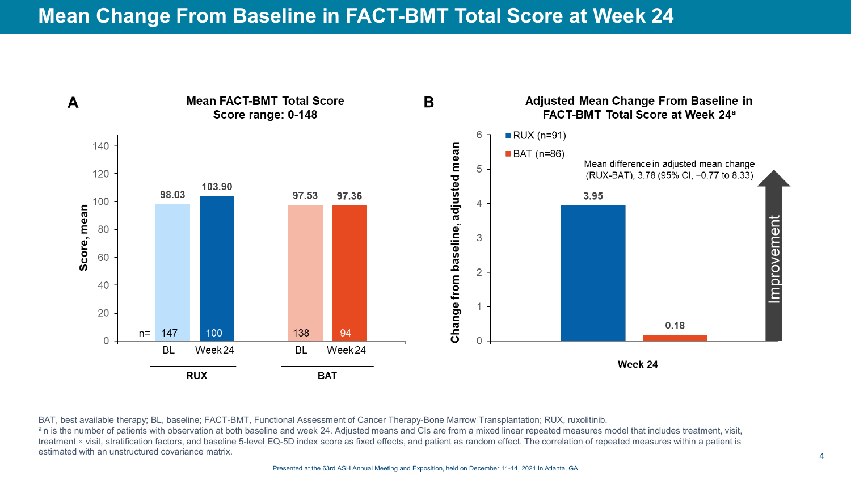

BAT, best available therapy; BL, baseline; FACT-BMT, Functional Assessment of Cancer Therapy-Bone Marrow Transplantation; RUX, ruxolitinib. an is the number of patients with observation at both baseline and week 24. Adjusted means and CIs are from a mixed linear repeated measures model that includes treatment, visit, treatment × visit, stratification factors, and baseline 5-level EQ-5D index score as fixed effects, and patient as random effect. The correlation of repeated measures within a patient is estimated with an unstructured covariance matrix.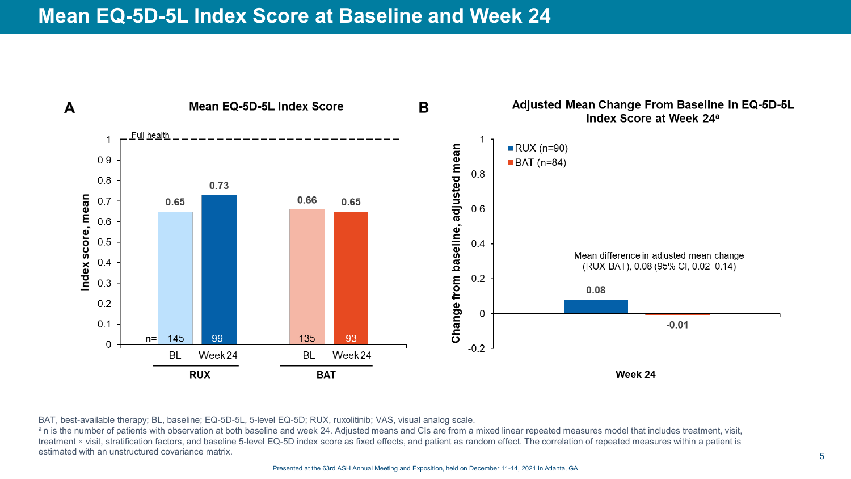### **Mean EQ-5D-5L Index Score at Baseline and Week 24**



BAT, best-available therapy; BL, baseline; EQ-5D-5L, 5-level EQ-5D; RUX, ruxolitinib; VAS, visual analog scale.

an is the number of patients with observation at both baseline and week 24. Adjusted means and CIs are from a mixed linear repeated measures model that includes treatment, visit, treatment × visit, stratification factors, and baseline 5-level EQ-5D index score as fixed effects, and patient as random effect. The correlation of repeated measures within a patient is estimated with an unstructured covariance matrix.